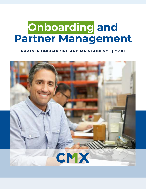# **Onboarding and Partner Management**

#### **PARTNER ONBOARDING AND MAINTAINENCE | CMX1**

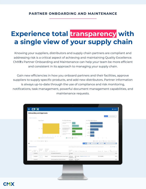## **Experience total transparency with a single view of your supply chain**

Knowing your suppliers, distributors and supply chain partners are compliant and addressing risk is a critical aspect of achieving and maintaining Quality Excellence. CMX**1**'s Partner Onboarding and Maintenance can help your team be more efficient and consistent in its approach to managing your supply chain.

Gain new efficiencies in how you onboard partners and their facilities, approve suppliers to supply specific products, and add new distributors. Partner information is always up-to-date through the use of compliance and risk monitoring, notifications, task management, powerful document management capabilities, and maintenance requests.

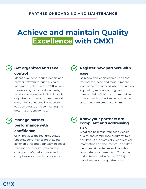## **Achieve and maintain Quality Excellence with CMX1**

### **Get organized and take control**

Manage your entire supply chain and partner network through a single, integrated system. With CMX**1**, all your master data, contacts, documents, legal agreements, and related data is organized and always up-to-date. With everything connected in one system, you don't waste time connecting the dots – it's all done for you.

### **V** Register new partners with **ease**

Gain new efficiencies by reducing the internal overhead and tedious manual work often experienced when evaluating, approving, and onboarding new partners. With CMX**1**, it's automated and orchestrated so you'll know exactly the status and next steps at any time.

### **Manage partner performance with confidence**

CMX**1** provides the real-time status updates, performance metrics, and actionable insights your team needs to manage and monitor your supply chain partner's performance and compliance status with confidence.

#### $\mathcal{F}_1$  Know your partners are **compliant and addressing risk**

CMX**1** can help take your supply chain quality and compliance programs to a new level. It automatically keeps critical information and documents up-to-date, identifies critical issues and provides comprehensive closed-loop Corrective Action Preventative Action (CAPA) workflows so issues get fixed fast.

**CMX**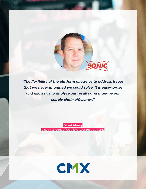

*"The flexibility of the platform allows us to address issues that we never imagined we could solve. It is easy-to-use and allows us to analyze our results and manage our supply chain efficiently."*

> **David Abney** Vice President of Quality Assurance at Sonic

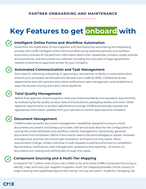## **Key Features to get onboard with**

#### **Intelligent Online Forms and Workflow Automation**

Streamline the registration of new Suppliers and Distributors by automating the onboarding process with CMX**1**. Intelligent online forms are filled out by potential partners and workflow automation ensures all the pertinent information about their capabilities, contacts, audits, policies and procedures, and documents are collected, including the execution of legal agreements needed to become an approved vendor for your company.

#### **Automated Communication and Task Management**

Each step for collecting, evaluating, or approving a new partner or facility is automated which ensures your processes are followed and decisions are made by SMEs. Collaborate across departments and with partners and utilize notifications, task management, and escalations to keep the process moving and meet critical deadlines.

#### **Total Quality Management**

Before final approval, ensure suppliers meet your brand standards and regulatory requirements by evaluating facility audits, product tests and evaluations, packaging details, and more. When approval requirements or product specifications change, CMX**1** automatically requests the appropriate information updates from your partners to remain approved and compliant.

#### **Document Management**

CMX**1** includes powerful document management capabilities designed to ensure critical documents are present and always up-to-date. Self-service tools allow for the configuration of varying document attributes and workflow rules for management. Dynamically generate documents from templates. Define if documents need to be acknowledged or signed, reviewed and approved, and how documents get renewed or archived once they expire. When requirements change, initiate individual or bulk requests to partners and track to completion. Record status, notifications, task management, escalations and reporting - all ensure no documents are missing and nothing falls through the cracks.

#### **Component Sourcing and & Multi-Tier Mapping**

Go beyond Tier 1, where most of your risk is likely to be, and utilize CMX**1**'s Component Sourcing to identify, map, and track your supplier's suppliers. Multi-Tier mapping provides critical country of origin tracking and capabilities beyond the normal "one up, one down" model for managing risk.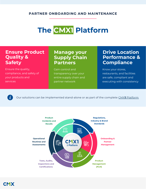## **The CMX1 Platform**

### **Ensure Product Quality & Safety**

Ensure the quality, compliance, and safety of your products and services

### **Manage your Supply Chain Partners**

Gain control and transparency over your entire supply chain and partner network

## **Drive Location Performance & Compliance**

Know your stores, restaurants, and facilities are safe, compliant and executing with consistency

 $\boldsymbol{\check{\mathbf{i}}}$ 

Our solutions can be implemented stand-alone or as part of the complete CMX**1** [Platform](http://www.cmx1.com/solutions)